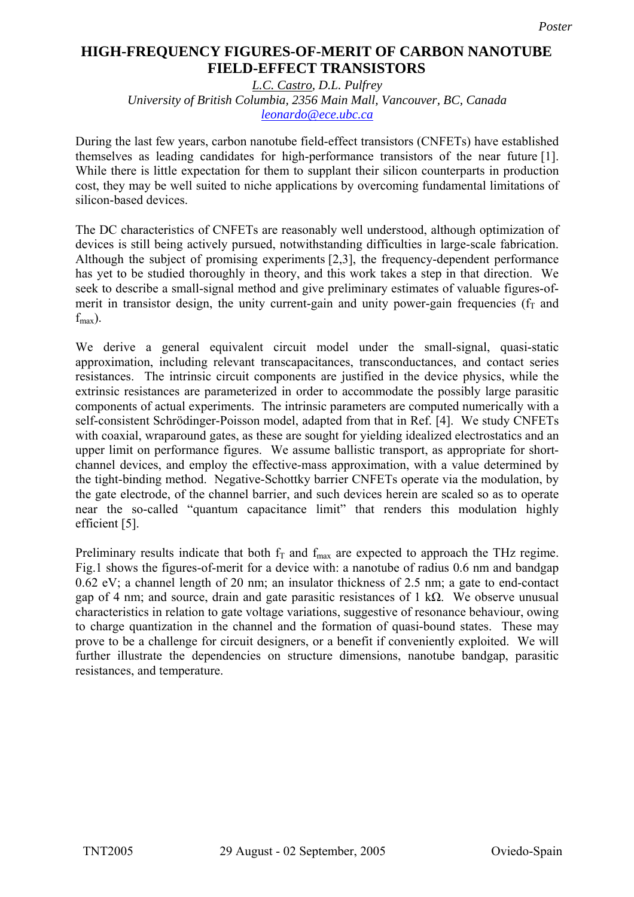## **High-Frequency Figures-of-Merit of Carbon Nanotube Field-Effect Transistors HIGH-FREQUENCY FIGURES-OF-MERIT OF CARBON NANOTUBE FIELD-EFFECT TRANSISTORS**

*L.C. Castro, D.L. Pulfrey University of British Columbia, 2356 Main Mall, Vancouver, BC, Canada [leonardo@ece.ubc.ca](mailto:Contact@E-mail)*

During the last few years, carbon nanotube field-effect transistors (CNFETs) have established themselves as leading candidates for high-performance transistors of the near future [1]. While there is little expectation for them to supplant their silicon counterparts in production cost, they may be well suited to niche applications by overcoming fundamental limitations of silicon-based devices.

The DC characteristics of CNFETs are reasonably well understood, although optimization of devices is still being actively pursued, notwithstanding difficulties in large-scale fabrication. Although the subject of promising experiments [2,3], the frequency-dependent performance has yet to be studied thoroughly in theory, and this work takes a step in that direction. We seek to describe a small-signal method and give preliminary estimates of valuable figures-ofmerit in transistor design, the unity current-gain and unity power-gain frequencies ( $f<sub>T</sub>$  and  $f_{\text{max}}$ ).

We derive a general equivalent circuit model under the small-signal, quasi-static approximation, including relevant transcapacitances, transconductances, and contact series resistances. The intrinsic circuit components are justified in the device physics, while the extrinsic resistances are parameterized in order to accommodate the possibly large parasitic components of actual experiments. The intrinsic parameters are computed numerically with a self-consistent Schrödinger-Poisson model, adapted from that in Ref. [4]. We study CNFETs with coaxial, wraparound gates, as these are sought for yielding idealized electrostatics and an upper limit on performance figures. We assume ballistic transport, as appropriate for shortchannel devices, and employ the effective-mass approximation, with a value determined by the tight-binding method. Negative-Schottky barrier CNFETs operate via the modulation, by the gate electrode, of the channel barrier, and such devices herein are scaled so as to operate near the so-called "quantum capacitance limit" that renders this modulation highly efficient [5].

Preliminary results indicate that both  $f_T$  and  $f_{max}$  are expected to approach the THz regime. Fig.1 shows the figures-of-merit for a device with: a nanotube of radius 0.6 nm and bandgap 0.62 eV; a channel length of 20 nm; an insulator thickness of 2.5 nm; a gate to end-contact gap of 4 nm; and source, drain and gate parasitic resistances of 1 kΩ. We observe unusual characteristics in relation to gate voltage variations, suggestive of resonance behaviour, owing to charge quantization in the channel and the formation of quasi-bound states. These may prove to be a challenge for circuit designers, or a benefit if conveniently exploited. We will further illustrate the dependencies on structure dimensions, nanotube bandgap, parasitic resistances, and temperature.